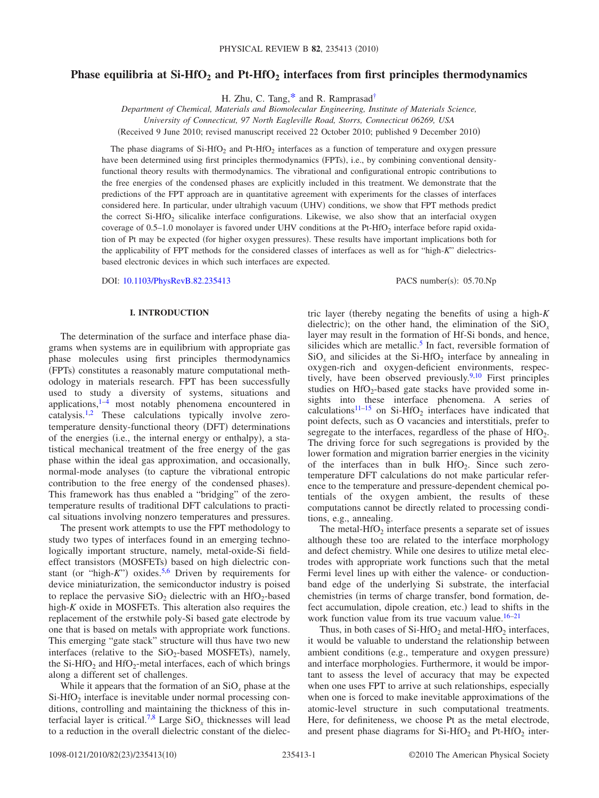# Phase equilibria at Si-HfO<sub>2</sub> and Pt-HfO<sub>2</sub> interfaces from first principles thermodynamics

H. Zhu, C. Tang[,\\*](#page-8-0) and R. Ramprasa[d†](#page-8-1)

*Department of Chemical, Materials and Biomolecular Engineering, Institute of Materials Science, University of Connecticut, 97 North Eagleville Road, Storrs, Connecticut 06269, USA*

Received 9 June 2010; revised manuscript received 22 October 2010; published 9 December 2010-

The phase diagrams of Si-HfO<sub>2</sub> and Pt-HfO<sub>2</sub> interfaces as a function of temperature and oxygen pressure have been determined using first principles thermodynamics (FPTs), i.e., by combining conventional densityfunctional theory results with thermodynamics. The vibrational and configurational entropic contributions to the free energies of the condensed phases are explicitly included in this treatment. We demonstrate that the predictions of the FPT approach are in quantitative agreement with experiments for the classes of interfaces considered here. In particular, under ultrahigh vacuum (UHV) conditions, we show that FPT methods predict the correct Si-HfO<sub>2</sub> silicalike interface configurations. Likewise, we also show that an interfacial oxygen coverage of  $0.5-1.0$  monolayer is favored under UHV conditions at the Pt-HfO<sub>2</sub> interface before rapid oxidation of Pt may be expected (for higher oxygen pressures). These results have important implications both for the applicability of FPT methods for the considered classes of interfaces as well as for "high-*K*" dielectricsbased electronic devices in which such interfaces are expected.

DOI: [10.1103/PhysRevB.82.235413](http://dx.doi.org/10.1103/PhysRevB.82.235413)

PACS number(s): 05.70.Np

## **I. INTRODUCTION**

The determination of the surface and interface phase diagrams when systems are in equilibrium with appropriate gas phase molecules using first principles thermodynamics (FPTs) constitutes a reasonably mature computational methodology in materials research. FPT has been successfully used to study a diversity of systems, situations and applications, $1-4$  $1-4$  most notably phenomena encountered in catalysis.<sup>1,[2](#page-8-4)</sup> These calculations typically involve zerotemperature density-functional theory (DFT) determinations of the energies (i.e., the internal energy or enthalpy), a statistical mechanical treatment of the free energy of the gas phase within the ideal gas approximation, and occasionally, normal-mode analyses (to capture the vibrational entropic contribution to the free energy of the condensed phases). This framework has thus enabled a "bridging" of the zerotemperature results of traditional DFT calculations to practical situations involving nonzero temperatures and pressures.

The present work attempts to use the FPT methodology to study two types of interfaces found in an emerging technologically important structure, namely, metal-oxide-Si fieldeffect transistors (MOSFETs) based on high dielectric constant (or "high-*K*") oxides.<sup>5,[6](#page-8-6)</sup> Driven by requirements for device miniaturization, the semiconductor industry is poised to replace the pervasive  $SiO<sub>2</sub>$  dielectric with an HfO<sub>2</sub>-based high-*K* oxide in MOSFETs. This alteration also requires the replacement of the erstwhile poly-Si based gate electrode by one that is based on metals with appropriate work functions. This emerging "gate stack" structure will thus have two new interfaces (relative to the  $SiO_2$ -based MOSFETs), namely, the Si-HfO<sub>2</sub> and HfO<sub>2</sub>-metal interfaces, each of which brings along a different set of challenges.

While it appears that the formation of an SiO<sub>x</sub> phase at the  $Si-HfO<sub>2</sub>$  interface is inevitable under normal processing conditions, controlling and maintaining the thickness of this interfacial layer is critical[.7,](#page-8-7)[8](#page-8-8) Large SiO*<sup>x</sup>* thicknesses will lead to a reduction in the overall dielectric constant of the dielectric layer (thereby negating the benefits of using a high- $K$ dielectric); on the other hand, the elimination of the  $SiO<sub>x</sub>$ layer may result in the formation of Hf-Si bonds, and hence, silicides which are metallic.<sup>5</sup> In fact, reversible formation of  $SiO<sub>x</sub>$  and silicides at the Si-HfO<sub>2</sub> interface by annealing in oxygen-rich and oxygen-deficient environments, respectively, have been observed previously. $9,10$  $9,10$  First principles studies on  $HfO<sub>2</sub>$ -based gate stacks have provided some insights into these interface phenomena. A series of calculations<sup>11[–15](#page-9-1)</sup> on Si-HfO<sub>2</sub> interfaces have indicated that point defects, such as O vacancies and interstitials, prefer to segregate to the interfaces, regardless of the phase of  $HfO<sub>2</sub>$ . The driving force for such segregations is provided by the lower formation and migration barrier energies in the vicinity of the interfaces than in bulk  $HfO<sub>2</sub>$ . Since such zerotemperature DFT calculations do not make particular reference to the temperature and pressure-dependent chemical potentials of the oxygen ambient, the results of these computations cannot be directly related to processing conditions, e.g., annealing.

The metal-HfO<sub>2</sub> interface presents a separate set of issues although these too are related to the interface morphology and defect chemistry. While one desires to utilize metal electrodes with appropriate work functions such that the metal Fermi level lines up with either the valence- or conductionband edge of the underlying Si substrate, the interfacial chemistries (in terms of charge transfer, bond formation, defect accumulation, dipole creation, etc.) lead to shifts in the work function value from its true vacuum value. $16-21$ 

Thus, in both cases of  $Si-HfO<sub>2</sub>$  and metal-HfO<sub>2</sub> interfaces, it would be valuable to understand the relationship between ambient conditions (e.g., temperature and oxygen pressure) and interface morphologies. Furthermore, it would be important to assess the level of accuracy that may be expected when one uses FPT to arrive at such relationships, especially when one is forced to make inevitable approximations of the atomic-level structure in such computational treatments. Here, for definiteness, we choose Pt as the metal electrode, and present phase diagrams for  $Si-HfO<sub>2</sub>$  and Pt-HfO<sub>2</sub> inter-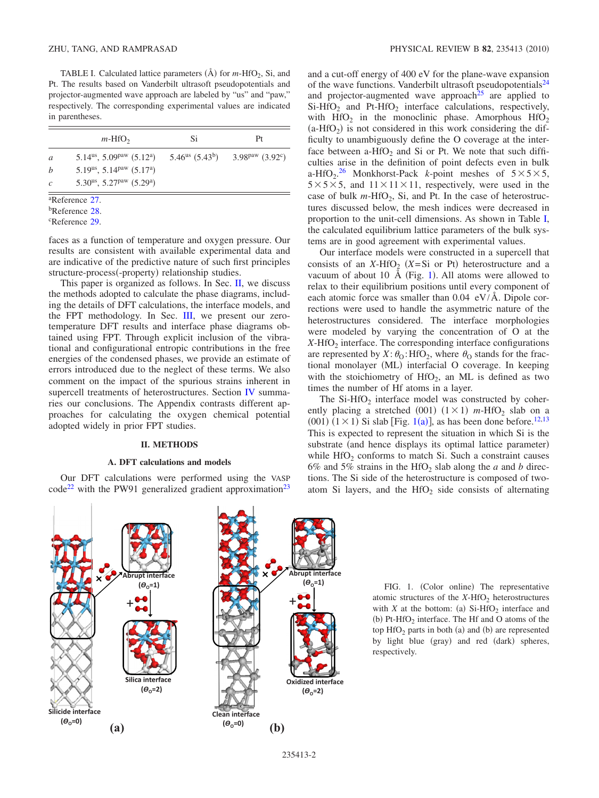<span id="page-1-1"></span>TABLE I. Calculated lattice parameters  $(\text{A})$  for  $m$ -HfO<sub>2</sub>, Si, and Pt. The results based on Vanderbilt ultrasoft pseudopotentials and projector-augmented wave approach are labeled by "us" and "paw," respectively. The corresponding experimental values are indicated in parentheses.

|               | $m$ -HfO <sub>2</sub>                                         | Si | Pt                                             |
|---------------|---------------------------------------------------------------|----|------------------------------------------------|
| a             | $5.14us$ , $5.09paw$ $(5.12a)$                                |    | $5.46^{us}$ $(5.43^b)$ $3.98^{paw}$ $(3.92^c)$ |
| b             | 5.19 <sup>us</sup> , 5.14 <sup>paw</sup> (5.17 <sup>a</sup> ) |    |                                                |
| $\mathcal{C}$ | 5.30 <sup>us</sup> , 5.27 <sup>paw</sup> (5.29 <sup>a</sup> ) |    |                                                |

a Reference [27.](#page-9-11)

<sup>b</sup>Reference [28.](#page-9-12)

c Reference [29.](#page-9-13)

faces as a function of temperature and oxygen pressure. Our results are consistent with available experimental data and are indicative of the predictive nature of such first principles structure-process(-property) relationship studies.

This paper is organized as follows. In Sec. [II,](#page-1-0) we discuss the methods adopted to calculate the phase diagrams, including the details of DFT calculations, the interface models, and the FPT methodology. In Sec. [III,](#page-3-0) we present our zerotemperature DFT results and interface phase diagrams obtained using FPT. Through explicit inclusion of the vibrational and configurational entropic contributions in the free energies of the condensed phases, we provide an estimate of errors introduced due to the neglect of these terms. We also comment on the impact of the spurious strains inherent in supercell treatments of heterostructures. Section [IV](#page-7-0) summaries our conclusions. The Appendix contrasts different approaches for calculating the oxygen chemical potential adopted widely in prior FPT studies.

### **II. METHODS**

## **A. DFT calculations and models**

<span id="page-1-0"></span>Our DFT calculations were performed using the VASP  $\text{code}^{22}$  with the PW91 generalized gradient approximation<sup>23</sup> and a cut-off energy of 400 eV for the plane-wave expansion of the wave functions. Vanderbilt ultrasoft pseudopotentials<sup>24</sup> and projector-augmented wave approach<sup>25</sup> are applied to  $Si-HfO<sub>2</sub>$  and Pt-HfO<sub>2</sub> interface calculations, respectively, with  $HfO<sub>2</sub>$  in the monoclinic phase. Amorphous  $HfO<sub>2</sub>$  $(a-HfO<sub>2</sub>)$  is not considered in this work considering the difficulty to unambiguously define the O coverage at the interface between a-HfO<sub>2</sub> and Si or Pt. We note that such difficulties arise in the definition of point defects even in bulk a-HfO<sub>2</sub>.<sup>[26](#page-9-8)</sup> Monkhorst-Pack *k*-point meshes of  $5 \times 5 \times 5$ ,  $5 \times 5 \times 5$ , and  $11 \times 11 \times 11$ , respectively, were used in the case of bulk  $m$ -HfO<sub>2</sub>, Si, and Pt. In the case of heterostructures discussed below, the mesh indices were decreased in proportion to the unit-cell dimensions. As shown in Table [I,](#page-1-1) the calculated equilibrium lattice parameters of the bulk systems are in good agreement with experimental values.

Our interface models were constructed in a supercell that consists of an *X*-HfO<sub>2</sub> (*X*=Si or Pt) heterostructure and a vacuum of about [1](#page-1-2)0  $\AA$  (Fig. 1). All atoms were allowed to relax to their equilibrium positions until every component of each atomic force was smaller than  $0.04$  eV/Å. Dipole corrections were used to handle the asymmetric nature of the heterostructures considered. The interface morphologies were modeled by varying the concentration of O at the *X*-HfO<sub>2</sub> interface. The corresponding interface configurations are represented by  $X: \theta_0$ : HfO<sub>2</sub>, where  $\theta_0$  stands for the fractional monolayer (ML) interfacial O coverage. In keeping with the stoichiometry of  $HfO<sub>2</sub>$ , an ML is defined as two times the number of Hf atoms in a layer.

The Si-HfO<sub>2</sub> interface model was constructed by coherently placing a stretched (001)  $(1 \times 1)$  m-HfO<sub>2</sub> slab on a  $(001)$  $(001)$  $(001)$   $(1 \times 1)$  Si slab [Fig. 1(a)], as has been done before.<sup>12[,13](#page-9-10)</sup> This is expected to represent the situation in which Si is the substrate (and hence displays its optimal lattice parameter) while  $\text{HfO}_2$  conforms to match Si. Such a constraint causes 6% and 5% strains in the HfO<sub>2</sub> slab along the *a* and *b* directions. The Si side of the heterostructure is composed of twoatom Si layers, and the HfO<sub>2</sub> side consists of alternating

<span id="page-1-2"></span>

FIG. 1. (Color online) The representative atomic structures of the  $X$ -HfO<sub>2</sub> heterostructures with *X* at the bottom: (a)  $Si-HfO<sub>2</sub>$  interface and (b)  $Pt-HfO<sub>2</sub>$  interface. The Hf and O atoms of the top  $HfO<sub>2</sub>$  parts in both (a) and (b) are represented by light blue (gray) and red (dark) spheres, respectively.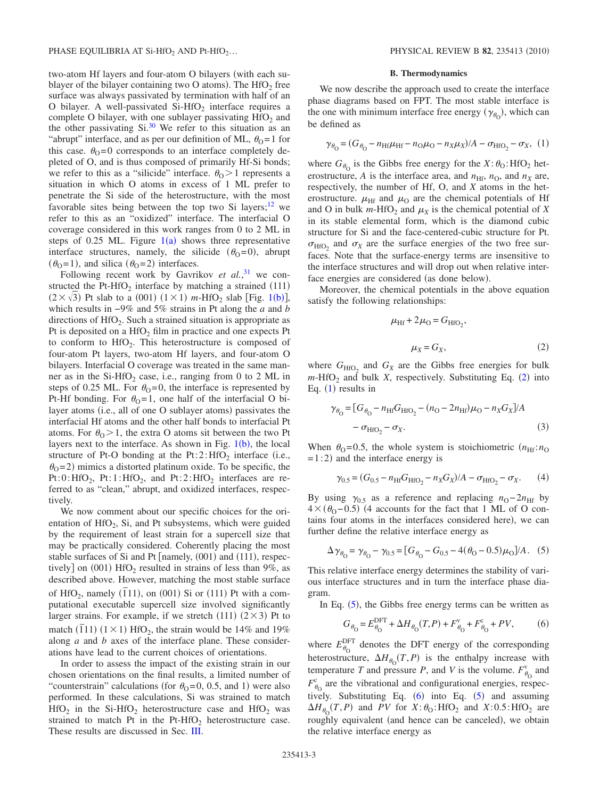two-atom Hf layers and four-atom O bilayers (with each sublayer of the bilayer containing two O atoms). The  $HfO<sub>2</sub>$  free surface was always passivated by termination with half of an O bilayer. A well-passivated  $Si-HfO<sub>2</sub>$  interface requires a complete O bilayer, with one sublayer passivating  $HfO<sub>2</sub>$  and the other passivating  $Si^{30}$  We refer to this situation as an "abrupt" interface, and as per our definition of ML,  $\theta_{\rm O} = 1$  for this case.  $\theta_0 = 0$  corresponds to an interface completely depleted of O, and is thus composed of primarily Hf-Si bonds; we refer to this as a "silicide" interface.  $\theta_0 > 1$  represents a situation in which O atoms in excess of 1 ML prefer to penetrate the Si side of the heterostructure, with the most favorable sites being between the top two Si layers; $12$  we refer to this as an "oxidized" interface. The interfacial O coverage considered in this work ranges from 0 to 2 ML in steps of 0.25 ML. Figure  $1(a)$  $1(a)$  shows three representative interface structures, namely, the silicide  $(\theta_0 = 0)$ , abrupt  $(\theta_0 = 1)$ , and silica  $(\theta_0 = 2)$  interfaces.

Following recent work by Gavrikov *et al.*,<sup>[31](#page-9-15)</sup> we constructed the Pt-HfO<sub>2</sub> interface by matching a strained (111)  $(2 \times \sqrt{3})$  Pt slab to a (00[1](#page-1-2))  $(1 \times 1)$  m-HfO<sub>2</sub> slab [Fig. 1(b)], which results in −9% and 5% strains in Pt along the *a* and *b* directions of  $HfO<sub>2</sub>$ . Such a strained situation is appropriate as Pt is deposited on a  $HfO<sub>2</sub>$  film in practice and one expects Pt to conform to  $HfO<sub>2</sub>$ . This heterostructure is composed of four-atom Pt layers, two-atom Hf layers, and four-atom O bilayers. Interfacial O coverage was treated in the same manner as in the Si-HfO<sub>2</sub> case, i.e., ranging from 0 to 2 ML in steps of 0.25 ML. For  $\theta_0 = 0$ , the interface is represented by Pt-Hf bonding. For  $\theta_0 = 1$ , one half of the interfacial O bilayer atoms (i.e., all of one O sublayer atoms) passivates the interfacial Hf atoms and the other half bonds to interfacial Pt atoms. For  $\theta_{\rm O} > 1$ , the extra O atoms sit between the two Pt layers next to the interface. As shown in Fig.  $1(b)$  $1(b)$ , the local structure of Pt-O bonding at the Pt:  $2:$  HfO<sub>2</sub> interface (i.e.,  $\theta$ <sub>O</sub>=2) mimics a distorted platinum oxide. To be specific, the Pt:0:HfO<sub>2</sub>, Pt:1:HfO<sub>2</sub>, and Pt:2:HfO<sub>2</sub> interfaces are referred to as "clean," abrupt, and oxidized interfaces, respectively.

We now comment about our specific choices for the orientation of  $HfO<sub>2</sub>$ , Si, and Pt subsystems, which were guided by the requirement of least strain for a supercell size that may be practically considered. Coherently placing the most stable surfaces of Si and Pt [namely, (001) and (111), respectively] on  $(001)$  HfO<sub>2</sub> resulted in strains of less than 9%, as described above. However, matching the most stable surface of HfO<sub>2</sub>, namely  $(\overline{1}11)$ , on  $(001)$  Si or  $(111)$  Pt with a computational executable supercell size involved significantly larger strains. For example, if we stretch  $(111)$   $(2 \times 3)$  Pt to match  $(11)$   $(1 \times 1)$   $HfO<sub>2</sub>$ , the strain would be 14% and 19% along *a* and *b* axes of the interface plane. These considerations have lead to the current choices of orientations.

In order to assess the impact of the existing strain in our chosen orientations on the final results, a limited number of "counterstrain" calculations (for  $\theta_0 = 0, 0.5,$  and 1) were also performed. In these calculations, Si was strained to match  $HfO<sub>2</sub>$  in the Si-HfO<sub>2</sub> heterostructure case and HfO<sub>2</sub> was strained to match Pt in the Pt-HfO<sub>2</sub> heterostructure case. These results are discussed in Sec. [III.](#page-3-0)

## **B. Thermodynamics**

We now describe the approach used to create the interface phase diagrams based on FPT. The most stable interface is the one with minimum interface free energy  $(\gamma_{\theta_0})$ , which can be defined as

<span id="page-2-1"></span>
$$
\gamma_{\theta_{\rm O}} = (G_{\theta_{\rm O}} - n_{\rm Hf} \mu_{\rm Hf} - n_{\rm O} \mu_{\rm O} - n_X \mu_X) / A - \sigma_{\rm HfO_2} - \sigma_X, (1)
$$

where  $G_{\theta_0}$  is the Gibbs free energy for the *X*: $\theta_0$ : HfO<sub>2</sub> heterostructure, *A* is the interface area, and  $n_{\text{Hf}}$ ,  $n_{\text{O}}$ , and  $n_{\text{X}}$  are, respectively, the number of Hf, O, and *X* atoms in the heterostructure.  $\mu_{\text{Hf}}$  and  $\mu_{\text{O}}$  are the chemical potentials of Hf and O in bulk  $m$ -HfO<sub>2</sub> and  $\mu_X$  is the chemical potential of *X* in its stable elemental form, which is the diamond cubic structure for Si and the face-centered-cubic structure for Pt.  $\sigma_{\text{HfO}_2}$  and  $\sigma_X$  are the surface energies of the two free surfaces. Note that the surface-energy terms are insensitive to the interface structures and will drop out when relative interface energies are considered (as done below).

<span id="page-2-0"></span>Moreover, the chemical potentials in the above equation satisfy the following relationships:

$$
\mu_{\rm Hf} + 2\mu_{\rm O} = G_{\rm HfO_2},
$$
  

$$
\mu_X = G_X, \tag{2}
$$

where  $G_{\text{HfO}_2}$  and  $G_X$  are the Gibbs free energies for bulk  $m$ -HfO<sub>[2](#page-2-0)</sub> and bulk *X*, respectively. Substituting Eq. (2) into Eq.  $(1)$  $(1)$  $(1)$  results in

$$
\gamma_{\theta_{\rm O}} = [G_{\theta_{\rm O}} - n_{\rm Hf} G_{\rm HfO_2} - (n_{\rm O} - 2n_{\rm Hf}) \mu_{\rm O} - n_X G_X]/A - \sigma_{\rm HfO_2} - \sigma_X.
$$
\n(3)

When  $\theta_{\text{O}} = 0.5$ , the whole system is stoichiometric  $(n_{\text{Hf}}:n_{\text{O}})$  $=1:2$ ) and the interface energy is

$$
\gamma_{0.5} = (G_{0.5} - n_{\text{Hf}} G_{\text{HfO}_2} - n_X G_X)/A - \sigma_{\text{HfO}_2} - \sigma_X. \tag{4}
$$

By using  $\gamma_{0.5}$  as a reference and replacing  $n_{\text{O}} - 2n_{\text{Hf}}$  by  $4 \times (\theta_0 - 0.5)$  (4 accounts for the fact that 1 ML of O contains four atoms in the interfaces considered here), we can further define the relative interface energy as

<span id="page-2-2"></span>
$$
\Delta \gamma_{\theta_0} = \gamma_{\theta_0} - \gamma_{0.5} = [G_{\theta_0} - G_{0.5} - 4(\theta_0 - 0.5)\mu_0]/A. (5)
$$

This relative interface energy determines the stability of various interface structures and in turn the interface phase diagram.

<span id="page-2-3"></span>In Eq.  $(5)$  $(5)$  $(5)$ , the Gibbs free energy terms can be written as

$$
G_{\theta_0} = E_{\theta_0}^{\text{DFT}} + \Delta H_{\theta_0}(T, P) + F_{\theta_0}^{\text{v}} + F_{\theta_0}^{\text{c}} + PV,
$$
 (6)

where  $E_{\theta_0}^{\text{DFT}}$  denotes the DFT energy of the corresponding heterostructure,  $\Delta H_{\theta_0}(T, P)$  is the enthalpy increase with temperature *T* and pressure *P*, and *V* is the volume.  $F_{\theta_0}^v$  and  $F_{\theta_0}^c$  are the vibrational and configurational energies, respectively. Substituting Eq.  $(6)$  $(6)$  $(6)$  into Eq.  $(5)$  $(5)$  $(5)$  and assuming  $\Delta H_{\theta_0}(T, P)$  and *PV* for *X*: $\theta_0$ :HfO<sub>2</sub> and *X*:0.5:HfO<sub>2</sub> are roughly equivalent (and hence can be canceled), we obtain the relative interface energy as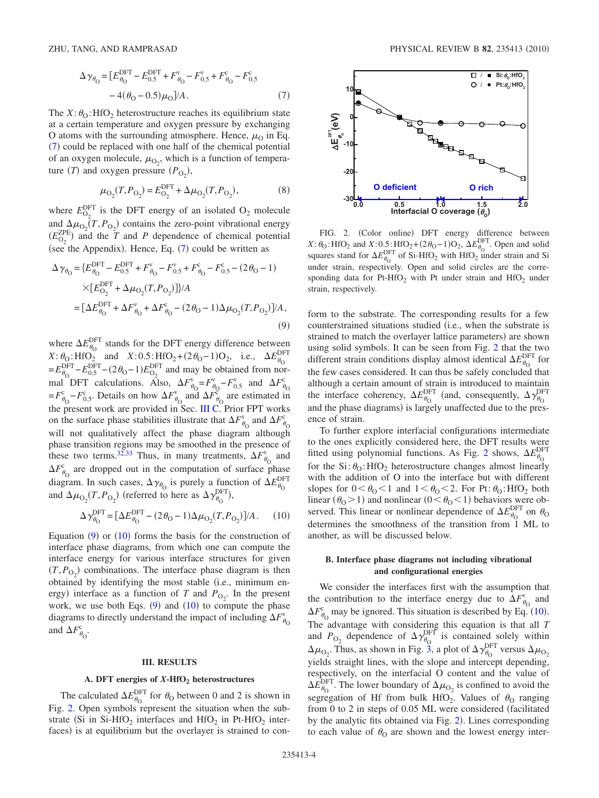<span id="page-3-1"></span>
$$
\Delta \gamma_{\theta_{\rm O}} = [E_{\theta_{\rm O}}^{\rm DFT} - E_{0.5}^{\rm DFT} + F_{\theta_{\rm O}}^{v} - F_{0.5}^{v} + F_{\theta_{\rm O}}^{c} - F_{0.5}^{c}
$$

$$
- 4(\theta_{\rm O} - 0.5)\mu_{\rm O}]/A. \tag{7}
$$

The  $X: \theta_0$ : HfO<sub>2</sub> heterostructure reaches its equilibrium state at a certain temperature and oxygen pressure by exchanging O atoms with the surrounding atmosphere. Hence,  $\mu_0$  in Eq.  $(7)$  $(7)$  $(7)$  could be replaced with one half of the chemical potential of an oxygen molecule,  $\mu_{O_2}$ , which is a function of temperature  $(T)$  and oxygen pressure  $(P_{O_2})$ ,

$$
\mu_{\text{O}_2}(T, P_{\text{O}_2}) = E_{\text{O}_2}^{\text{DFT}} + \Delta \mu_{\text{O}_2}(T, P_{\text{O}_2}),\tag{8}
$$

where  $E_{\text{O}_2}^{\text{DFT}}$  is the DFT energy of an isolated  $\text{O}_2$  molecule and  $\Delta \mu_{\text{O}_2}(T, P_{\text{O}_2})$  contains the zero-point vibrational energy  $(E_{\text{O}_2}^{\text{ZPE}})$  and the *T* and *P* dependence of chemical potential (see the Appendix). Hence, Eq.  $(7)$  $(7)$  $(7)$  could be written as

<span id="page-3-2"></span>
$$
\Delta \gamma_{\theta_0} = \{ E_{\theta_0}^{\text{DFT}} - E_{0.5}^{\text{DFT}} + F_{\theta_0}^{\vee} - F_{0.5}^{\vee} + F_{\theta_0}^{\mathcal{C}} - F_{0.5}^{\mathcal{C}} - (2\theta_0 - 1) \times [E_{\theta_2}^{\text{DFT}} + \Delta \mu_{\theta_2} (T, P_{\theta_2})] \} / A
$$
  
= 
$$
[\Delta E_{\theta_0}^{\text{DFT}} + \Delta F_{\theta_0}^{\vee} + \Delta F_{\theta_0}^{\mathcal{C}} - (2\theta_0 - 1) \Delta \mu_{\theta_2} (T, P_{\theta_2})] / A,
$$
(9)

where  $\Delta E_{\theta_0}^{\text{DFT}}$  stands for the DFT energy difference between  $X: \theta_0$ : HfO<sub>2</sub> and  $X: 0.5$ : HfO<sub>2</sub> +  $(2\theta_0 - 1)$ O<sub>2</sub>, i.e.,  $\Delta E_{\theta_0}^{\text{DF}}$ DFT  $=E_{\theta_0}^{\text{DFT}}-E_{0.5}^{\text{DFT}}-(2\theta_0-1)E_{0_2}^{\text{DFT}}$  and may be obtained from normal DFT calculations. Also,  $\Delta F_{\theta_0}^{\rm v} = F_{\theta_0}^{\rm v} - F_{0.5}^{\rm v}$  and  $\Delta F_{\theta_0}^{\rm c}$ c  $= F^c_{\theta_0} - F^c_{0.5}$ . Details on how  $\Delta F^v_{\theta_0}$  and  $\Delta F^{\tilde{c}}_{\theta_0}$  are estimated in the present work are provided in Sec. [III C.](#page-4-0) Prior FPT works on the surface phase stabilities illustrate that  $\Delta F_{\theta_0}^{\rm v}$  and  $\Delta F_{\theta_0}^{\rm c}$ c will not qualitatively affect the phase diagram although phase transition regions may be smoothed in the presence of these two terms.<sup>32,[33](#page-9-17)</sup> Thus, in many treatments,  $\Delta F_{\theta_0}^{\rm v}$  and  $\Delta F_{\theta_0}^{\circ}$  are dropped out in the computation of surface phase diagram. In such cases,  $\Delta \gamma_{\theta_0}$  is purely a function of  $\Delta E_{\theta_0}^{\text{DF}}$ DFT and  $\Delta \mu_{\text{O}_2}(T, P_{\text{O}_2})$  (referred to here as  $\Delta \gamma_{\theta_0}^{\text{DFT}}$ ),

$$
\Delta \gamma_{\theta_0}^{\text{DFT}} = [\Delta E_{\theta_0}^{\text{DFT}} - (2\theta_0 - 1)\Delta \mu_{\text{O}_2}(T, P_{\text{O}_2})]/A. \tag{10}
$$

<span id="page-3-3"></span>Equation  $(9)$  $(9)$  $(9)$  or  $(10)$  $(10)$  $(10)$  forms the basis for the construction of interface phase diagrams, from which one can compute the interface energy for various interface structures for given  $(T, P_{O_2})$  combinations. The interface phase diagram is then obtained by identifying the most stable (i.e., minimum energy) interface as a function of *T* and  $P_{O_2}$ . In the present work, we use both Eqs.  $(9)$  $(9)$  $(9)$  and  $(10)$  $(10)$  $(10)$  to compute the phase diagrams to directly understand the impact of including  $\Delta F_{\theta_0}^{\vee}$ v and  $\Delta F^{\rm c}_{\theta_{\rm O}}$ .

### **III. RESULTS**

## A. DFT energies of  $X$ **-HfO<sub>2</sub>** heterostructures

<span id="page-3-5"></span><span id="page-3-0"></span>The calculated  $\Delta E_{\theta_0}^{\text{DFT}}$  for  $\theta_0$  between 0 and 2 is shown in Fig. [2.](#page-3-4) Open symbols represent the situation when the substrate (Si in Si-HfO<sub>2</sub> interfaces and HfO<sub>2</sub> in Pt-HfO<sub>2</sub> interfaces) is at equilibrium but the overlayer is strained to con-

<span id="page-3-4"></span>

FIG. 2. (Color online) DFT energy difference between  $X: \theta_0$ : HfO<sub>2</sub> and  $X: 0.5$ : HfO<sub>2</sub> +  $(2\theta_0 - 1)$ O<sub>2</sub>,  $\Delta E_{\theta_0}^{\text{DFT}}$ . Open and solid squares stand for  $\Delta E_{\theta_0}^{\text{DFT}}$  of Si-HfO<sub>2</sub> with HfO<sub>2</sub> under strain and Si under strain, respectively. Open and solid circles are the corresponding data for Pt-HfO<sub>2</sub> with Pt under strain and HfO<sub>2</sub> under strain, respectively.

form to the substrate. The corresponding results for a few counterstrained situations studied i.e., when the substrate is strained to match the overlayer lattice parameters) are shown using solid symbols. It can be seen from Fig. [2](#page-3-4) that the two different strain conditions display almost identical  $\Delta E_{\theta_{\Omega}}^{\text{DFT}}$  for the few cases considered. It can thus be safely concluded that although a certain amount of strain is introduced to maintain the interface coherency,  $\Delta E_{\theta_0}^{\text{DFT}}$  (and, consequently,  $\Delta \gamma_{\theta_0}^{\text{DFT}}$ DFT and the phase diagrams) is largely unaffected due to the presence of strain.

To further explore interfacial configurations intermediate to the ones explicitly considered here, the DFT results were fitted using polynomial functions. As Fig. [2](#page-3-4) shows,  $\Delta E_{\theta_{\rm Q}}^{\rm DF}$ DFT for the  $Si: \theta_0$ : HfO<sub>2</sub> heterostructure changes almost linearly with the addition of O into the interface but with different slopes for  $0 < \theta_0 < 1$  and  $1 < \theta_0 < 2$ . For Pt:  $\theta_0$ : HfO<sub>2</sub> both linear  $(\theta_0 > 1)$  and nonlinear  $(0 < \theta_0 < 1)$  behaviors were observed. This linear or nonlinear dependence of  $\Delta E_{\theta_{\text{Q}}}^{\text{DFT}}$  on  $\theta_{\text{Q}}$ determines the smoothness of the transition from 1 ML to another, as will be discussed below.

## **B. Interface phase diagrams not including vibrational and configurational energies**

We consider the interfaces first with the assumption that the contribution to the interface energy due to  $\Delta F_{\theta_0}^{\rm v}$  and  $\Delta F_{\theta_0}^{\rm c}$  may be ignored. This situation is described by Eq. ([10](#page-3-3)). The advantage with considering this equation is that all  $\overline{T}$ and  $P_{\text{O}_2}$  dependence of  $\Delta \gamma_{\theta_0}^{\text{DFT}}$  is contained solely within  $\Delta\mu_{\text{O}_2}$ . Thus, as shown in Fig. [3,](#page-4-1) a plot of  $\Delta\gamma_{\theta_0}^{\text{DFT}}$  versus  $\Delta\mu_{\text{O}_2}$ yields straight lines, with the slope and intercept depending, respectively, on the interfacial O content and the value of  $\Delta E_{\theta_0}^{\text{DFT}}$ . The lower boundary of  $\Delta \mu_{\text{O}_2}$  is confined to avoid the segregation of Hf from bulk HfO<sub>2</sub>. Values of  $\theta_0$  ranging from 0 to 2 in steps of 0.05 ML were considered facilitated by the analytic fits obtained via Fig. [2](#page-3-4)). Lines corresponding to each value of  $\theta_0$  are shown and the lowest energy inter-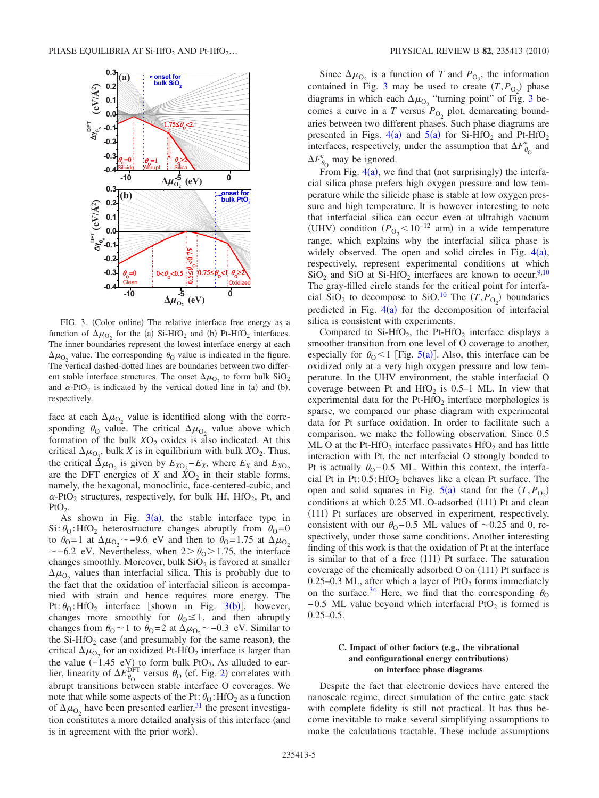<span id="page-4-1"></span>

FIG. 3. (Color online) The relative interface free energy as a function of  $\Delta\mu_{\text{O}_2}$  for the (a) Si-HfO<sub>2</sub> and (b) Pt-HfO<sub>2</sub> interfaces. The inner boundaries represent the lowest interface energy at each  $\Delta\mu_{\text{O}_2}$  value. The corresponding  $\theta_0$  value is indicated in the figure. The vertical dashed-dotted lines are boundaries between two different stable interface structures. The onset  $\Delta \mu_{\text{O}_2}$  to form bulk SiO<sub>2</sub> and  $\alpha$ -PtO<sub>2</sub> is indicated by the vertical dotted line in (a) and (b), respectively.

face at each  $\Delta\mu_{\text{O}_2}$  value is identified along with the corresponding  $\theta_0$  value. The critical  $\Delta \mu_{\Omega_2}$  value above which formation of the bulk  $XO_2$  oxides is also indicated. At this critical  $\Delta \mu_{\text{O}_2}$ , bulk *X* is in equilibrium with bulk *X*O<sub>2</sub>. Thus, the critical  $\Delta \mu_{\text{O}_2}$  is given by  $E_{X\text{O}_2} - E_X$ , where  $E_X$  and  $E_{X\text{O}_2}$ are the DFT energies of *X* and  $\bar{X}O_2$  in their stable forms, namely, the hexagonal, monoclinic, face-centered-cubic, and  $\alpha$ -PtO<sub>2</sub> structures, respectively, for bulk Hf, HfO<sub>2</sub>, Pt, and  $P<sub>t</sub>O<sub>2</sub>$ .

As shown in Fig.  $3(a)$  $3(a)$ , the stable interface type in Si:  $\theta_0$ : HfO<sub>2</sub> heterostructure changes abruptly from  $\theta_0 = 0$ to  $\theta_0 = 1$  at  $\Delta \mu_{\Omega_2} \sim -9.6$  eV and then to  $\theta_0 = 1.75$  at  $\Delta \mu_{\Omega_2}$  $\sim$  –6.2 eV. Nevertheless, when 2> $\theta_0$ >1.75, the interface changes smoothly. Moreover, bulk  $SiO<sub>2</sub>$  is favored at smaller  $\Delta \mu_{\text{O}_2}$  values than interfacial silica. This is probably due to the fact that the oxidation of interfacial silicon is accompanied with strain and hence requires more energy. The Pt:  $\theta_0$ : HfO<sub>2</sub> interface [shown in Fig. [3](#page-4-1)(b)], however, changes more smoothly for  $\theta_0 \leq 1$ , and then abruptly changes from  $\theta_0 \sim 1$  to  $\theta_0 = 2$  at  $\Delta \mu_{0_2} \sim -0.3$  eV. Similar to the Si-HfO<sub>2</sub> case (and presumably for the same reason), the critical  $\Delta \mu_{\text{O}_2}$  for an oxidized Pt-HfO<sub>2</sub> interface is larger than the value  $(-1.45 \text{ eV})$  to form bulk PtO<sub>2</sub>. As alluded to earlier, linearity of  $\Delta E_{\theta_0}^{\text{DFT}}$  versus  $\theta_0$  (cf. Fig. [2](#page-3-4)) correlates with abrupt transitions between stable interface O coverages. We note that while some aspects of the Pt:  $\theta_0$ : HfO<sub>2</sub> as a function of  $\Delta\mu_{\text{O}_2}$  have been presented earlier,<sup>31</sup> the present investigation constitutes a more detailed analysis of this interface (and is in agreement with the prior work).

Since  $\Delta \mu_{\text{O}_2}$  is a function of *T* and  $P_{\text{O}_2}$ , the information contained in Fig. [3](#page-4-1) may be used to create  $(T, P_{Q_2})$  phase diagrams in which each  $\Delta \mu_{\text{O}_2}$  "turning point" of Fig. [3](#page-4-1) becomes a curve in a *T* versus  $P_{\text{O}_2}$  plot, demarcating boundaries between two different phases. Such phase diagrams are presented in Figs.  $4(a)$  $4(a)$  and  $5(a)$  $5(a)$  for Si-HfO<sub>2</sub> and Pt-HfO<sub>2</sub> interfaces, respectively, under the assumption that  $\Delta F_{\theta_0}^{\rm v}$  and  $\Delta F_{\theta_0}^c$  may be ignored.

From Fig.  $4(a)$  $4(a)$ , we find that (not surprisingly) the interfacial silica phase prefers high oxygen pressure and low temperature while the silicide phase is stable at low oxygen pressure and high temperature. It is however interesting to note that interfacial silica can occur even at ultrahigh vacuum (UHV) condition  $(P_{O_2} < 10^{-12}$  atm) in a wide temperature range, which explains why the interfacial silica phase is widely observed. The open and solid circles in Fig.  $4(a)$  $4(a)$ , respectively, represent experimental conditions at which  $SiO<sub>2</sub>$  and SiO at Si-HfO<sub>2</sub> interfaces are known to occur.<sup>9[,10](#page-8-10)</sup> The gray-filled circle stands for the critical point for interfacial SiO<sub>2</sub> to decompose to SiO.<sup>10</sup> The  $(T, P_{O_2})$  boundaries predicted in Fig.  $4(a)$  $4(a)$  for the decomposition of interfacial silica is consistent with experiments.

Compared to Si-HfO<sub>2</sub>, the Pt-HfO<sub>2</sub> interface displays a smoother transition from one level of O coverage to another, especially for  $\theta_0 < 1$  [Fig. [5](#page-6-0)(a)]. Also, this interface can be oxidized only at a very high oxygen pressure and low temperature. In the UHV environment, the stable interfacial O coverage between Pt and HfO<sub>2</sub> is  $0.5-1$  ML. In view that experimental data for the Pt-HfO<sub>2</sub> interface morphologies is sparse, we compared our phase diagram with experimental data for Pt surface oxidation. In order to facilitate such a comparison, we make the following observation. Since 0.5 ML O at the Pt-HfO<sub>2</sub> interface passivates HfO<sub>2</sub> and has little interaction with Pt, the net interfacial O strongly bonded to Pt is actually  $\theta_0$ -0.5 ML. Within this context, the interfacial Pt in Pt: $0.5$ : HfO<sub>2</sub> behaves like a clean Pt surface. The open and solid squares in Fig.  $5(a)$  $5(a)$  stand for the  $(T, P_{O_2})$ conditions at which 0.25 ML O-adsorbed (111) Pt and clean (111) Pt surfaces are observed in experiment, respectively, consistent with our  $\theta_0$ –0.5 ML values of ~0.25 and 0, respectively, under those same conditions. Another interesting finding of this work is that the oxidation of Pt at the interface is similar to that of a free (111) Pt surface. The saturation coverage of the chemically adsorbed O on (111) Pt surface is 0.25–0.3 ML, after which a layer of  $PfO<sub>2</sub>$  forms immediately on the surface.<sup>34</sup> Here, we find that the corresponding  $\theta_{\text{O}}$  $-0.5$  ML value beyond which interfacial PtO<sub>2</sub> is formed is  $0.25 - 0.5$ .

## <span id="page-4-0"></span>**C. Impact of other factors (e.g., the vibrational and configurational energy contributions) on interface phase diagrams**

Despite the fact that electronic devices have entered the nanoscale regime, direct simulation of the entire gate stack with complete fidelity is still not practical. It has thus become inevitable to make several simplifying assumptions to make the calculations tractable. These include assumptions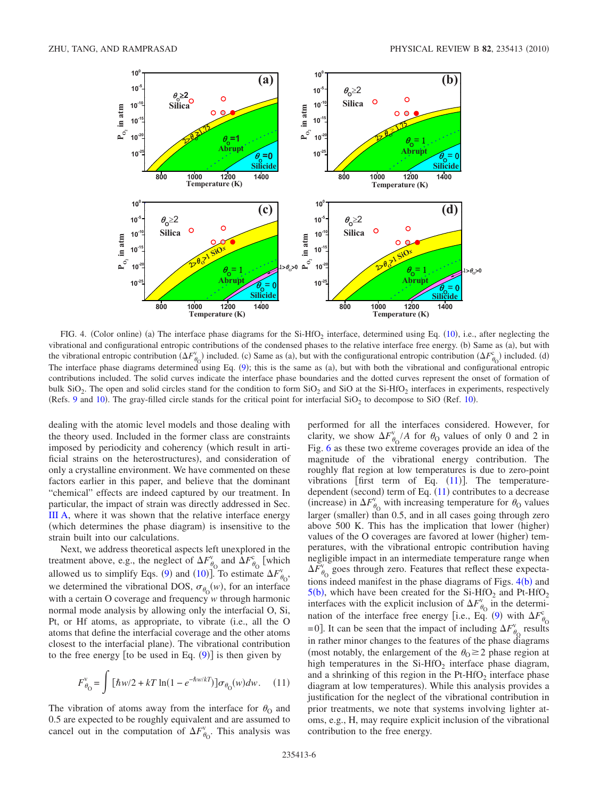<span id="page-5-0"></span>

FIG. 4. (Color online) (a) The interface phase diagrams for the Si-HfO<sub>2</sub> interface, determined using Eq.  $(10)$  $(10)$  $(10)$ , i.e., after neglecting the vibrational and configurational entropic contributions of the condensed phases to the relative interface free energy. (b) Same as (a), but with the vibrational entropic contribution  $(\Delta F_{\theta_0}^v)$  included. (c) Same as (a), but with the configurational entropic contribution  $(\Delta F_{\theta_0}^c)$  included. (d) The interface phase diagrams determined using Eq. ([9](#page-3-2)); this is the same as (a), but with both the vibrational and configurational entropic contributions included. The solid curves indicate the interface phase boundaries and the dotted curves represent the onset of formation of bulk  $SiO<sub>2</sub>$ . The open and solid circles stand for the condition to form  $SiO<sub>2</sub>$  and  $SiO<sub>2</sub>$  at the Si-HfO<sub>2</sub> interfaces in experiments, respectively (Refs. [9](#page-8-9) and [10](#page-8-10)). The gray-filled circle stands for the critical point for interfacial  $SiO<sub>2</sub>$  to decompose to SiO (Ref. 10).

dealing with the atomic level models and those dealing with the theory used. Included in the former class are constraints imposed by periodicity and coherency (which result in artificial strains on the heterostructures), and consideration of only a crystalline environment. We have commented on these factors earlier in this paper, and believe that the dominant "chemical" effects are indeed captured by our treatment. In particular, the impact of strain was directly addressed in Sec. [III A,](#page-3-5) where it was shown that the relative interface energy (which determines the phase diagram) is insensitive to the strain built into our calculations.

Next, we address theoretical aspects left unexplored in the treatment above, e.g., the neglect of  $\Delta F_{\theta_0}^{\rm v}$  and  $\Delta F_{\theta_0}^{\rm c}$  [which allowed us to simplify Eqs. ([9](#page-3-2)) and ([10](#page-3-3))]. To estimate  $\Delta F_{\theta_0}^{\nu}$ , we determined the vibrational DOS,  $\sigma_{\theta_0}(w)$ , for an interface with a certain O coverage and frequency *w* through harmonic normal mode analysis by allowing only the interfacial O, Si, Pt, or Hf atoms, as appropriate, to vibrate (i.e., all the O atoms that define the interfacial coverage and the other atoms closest to the interfacial plane). The vibrational contribution to the free energy [to be used in Eq.  $(9)$  $(9)$  $(9)$ ] is then given by

<span id="page-5-1"></span>
$$
F_{\theta_{\rm O}}^{\rm v} = \int \left[ \hbar w/2 + kT \ln(1 - e^{-\hbar w/kT}) \right] \sigma_{\theta_{\rm O}}(w) dw. \quad (11)
$$

The vibration of atoms away from the interface for  $\theta_0$  and 0.5 are expected to be roughly equivalent and are assumed to cancel out in the computation of  $\Delta F_{\theta_{\rm O}}^{\rm v}$ . This analysis was

performed for all the interfaces considered. However, for clarity, we show  $\Delta F_{\theta_0}^{\rm v}/A$  for  $\theta_0$  values of only 0 and 2 in Fig. [6](#page-7-1) as these two extreme coverages provide an idea of the magnitude of the vibrational energy contribution. The roughly flat region at low temperatures is due to zero-point vibrations [first term of Eq.  $(11)$  $(11)$  $(11)$ ]. The temperaturedependent (second) term of Eq.  $(11)$  $(11)$  $(11)$  contributes to a decrease (increase) in  $\Delta F_{\theta_0}^v$  with increasing temperature for  $\theta_0$  values larger (smaller) than 0.5, and in all cases going through zero above 500 K. This has the implication that lower (higher) values of the O coverages are favored at lower (higher) temperatures, with the vibrational entropic contribution having negligible impact in an intermediate temperature range when  $\Delta F_{\theta_0}^{\rm v}$  goes through zero. Features that reflect these expectations indeed manifest in the phase diagrams of Figs.  $4(b)$  $4(b)$  and  $5(b)$  $5(b)$ , which have been created for the Si-HfO<sub>2</sub> and Pt-HfO<sub>2</sub> interfaces with the explicit inclusion of  $\Delta F_{\theta_0}^{\rm v}$  in the determi-nation of the interface free energy [i.e., Eq. ([9](#page-3-2)) with  $\Delta F_{\theta_0}^{\circ}$ c =0]. It can be seen that the impact of including  $\Delta F_{\theta_0}^{\rm v}$  results in rather minor changes to the features of the phase diagrams (most notably, the enlargement of the  $\theta_0 \geq 2$  phase region at high temperatures in the  $Si-HfO<sub>2</sub>$  interface phase diagram, and a shrinking of this region in the  $Pt-HfO<sub>2</sub>$  interface phase diagram at low temperatures). While this analysis provides a justification for the neglect of the vibrational contribution in prior treatments, we note that systems involving lighter atoms, e.g., H, may require explicit inclusion of the vibrational contribution to the free energy.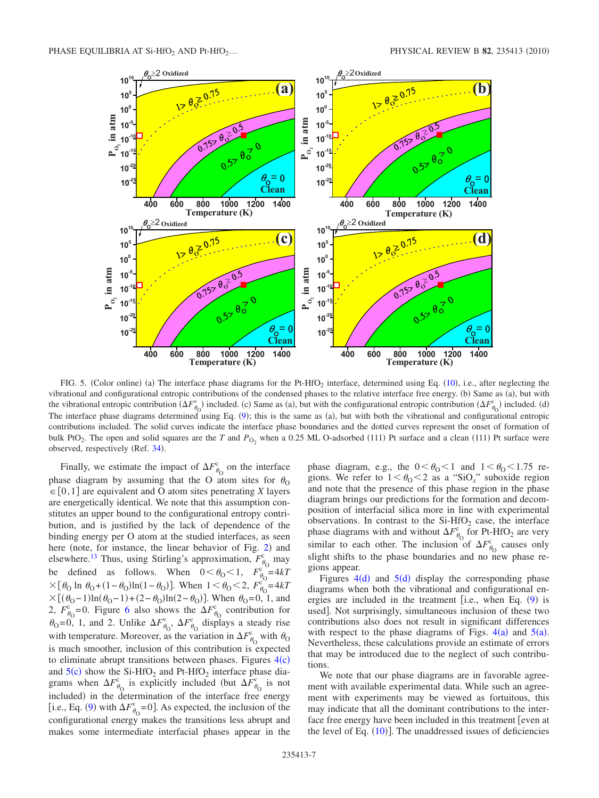<span id="page-6-0"></span>

FIG. 5. (Color online) (a) The interface phase diagrams for the Pt-HfO<sub>2</sub> interface, determined using Eq.  $(10)$  $(10)$  $(10)$ , i.e., after neglecting the vibrational and configurational entropic contributions of the condensed phases to the relative interface free energy. (b) Same as (a), but with the vibrational entropic contribution  $(\Delta F_{\theta_0}^v)$  included. (c) Same as (a), but with the configurational entropic contribution  $(\Delta F_{\theta_0}^c)$  included. (d) The interface phase diagrams determined using Eq. ([9](#page-3-2)); this is the same as (a), but with both the vibrational and configurational entropic contributions included. The solid curves indicate the interface phase boundaries and the dotted curves represent the onset of formation of bulk PtO<sub>2</sub>. The open and solid squares are the *T* and  $P_{\text{O}_2}$  when a 0.25 ML O-adsorbed (111) Pt surface and a clean (111) Pt surface were observed, respectively (Ref. [34](#page-9-18)).

Finally, we estimate the impact of  $\Delta F_{\theta_0}^c$  on the interface phase diagram by assuming that the O atom sites for  $\theta_0$  $\in [0,1]$  are equivalent and O atom sites penetrating *X* layers are energetically identical. We note that this assumption constitutes an upper bound to the configurational entropy contribution, and is justified by the lack of dependence of the binding energy per O atom at the studied interfaces, as seen here (note, for instance, the linear behavior of Fig. [2](#page-3-4)) and elsewhere.<sup>13</sup> Thus, using Stirling's approximation,  $F_{\theta_0}^c$  may be defined as follows. When  $0 < \theta_0 < 1$ ,  $F_{\theta_0}^{\theta_0} = 4kT$  $\times [\theta_0 \ln \theta_0 + (1 - \theta_0) \ln(1 - \theta_0)].$  When  $1 < \theta_0 < 2$ ,  $F_{\theta_0}^{\circ} = 4kT$  $\times [(\theta_0-1)\ln(\theta_0-1)+(2-\theta_0)\ln(2-\theta_0)].$  When  $\theta_0=0, 1,$  and 2,  $F^c_{\theta_0}$ =0. Figure [6](#page-7-1) also shows the  $\Delta F^c_{\theta_0}$  contribution for  $\theta_0 = 0$ , 1, and 2. Unlike  $\Delta F_{\theta_0}^{\vee}$ ,  $\Delta F_{\theta_0}^{\circ}$  displays a steady rise with temperature. Moreover, as the variation in  $\Delta F_{\theta_0}^c$  with  $\theta_0$ is much smoother, inclusion of this contribution is expected to eliminate abrupt transitions between phases. Figures  $4(c)$  $4(c)$ and  $5(c)$  $5(c)$  show the Si-HfO<sub>2</sub> and Pt-HfO<sub>2</sub> interface phase diagrams when  $\Delta F_{\theta_0}^c$  is explicitly included (but  $\Delta F_{\theta_0}^v$  is not included) in the determination of the interface free energy [i.e., Eq. ([9](#page-3-2)) with  $\Delta F_{\theta_0}^{\vee}$ =0]. As expected, the inclusion of the configurational energy makes the transitions less abrupt and makes some intermediate interfacial phases appear in the

phase diagram, e.g., the  $0 < \theta_0 < 1$  and  $1 < \theta_0 < 1.75$  regions. We refer to  $1 < \theta_0 < 2$  as a "SiO<sub>x</sub>" suboxide region and note that the presence of this phase region in the phase diagram brings our predictions for the formation and decomposition of interfacial silica more in line with experimental observations. In contrast to the  $Si-HfO<sub>2</sub>$  case, the interface phase diagrams with and without  $\Delta F_{\theta_0}^{\rm c}$  for Pt-HfO<sub>2</sub> are very similar to each other. The inclusion of  $\Delta F_{\theta_0}^{\circ}$  causes only slight shifts to the phase boundaries and no new phase regions appear.

Figures  $4(d)$  $4(d)$  and  $5(d)$  $5(d)$  display the corresponding phase diagrams when both the vibrational and configurational energies are included in the treatment [i.e., when Eq.  $(9)$  $(9)$  $(9)$  is used]. Not surprisingly, simultaneous inclusion of these two contributions also does not result in significant differences with respect to the phase diagrams of Figs.  $4(a)$  $4(a)$  and  $5(a)$  $5(a)$ . Nevertheless, these calculations provide an estimate of errors that may be introduced due to the neglect of such contributions.

We note that our phase diagrams are in favorable agreement with available experimental data. While such an agreement with experiments may be viewed as fortuitous, this may indicate that all the dominant contributions to the interface free energy have been included in this treatment even at the level of Eq.  $(10)$  $(10)$  $(10)$ ]. The unaddressed issues of deficiencies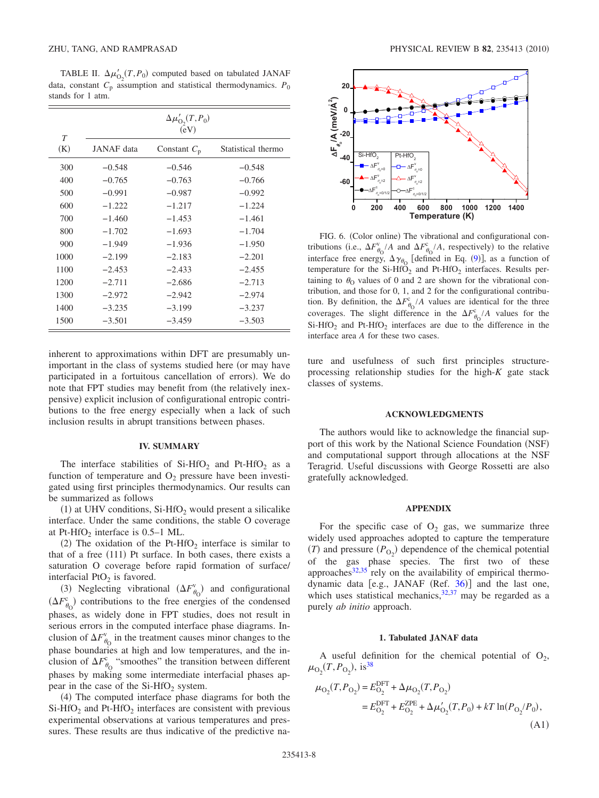<span id="page-7-3"></span>TABLE II.  $\Delta \mu'_{O_2}(T, P_0)$  computed based on tabulated JANAF data, constant  $C_p$  assumption and statistical thermodynamics.  $P_0$ stands for 1 atm.

| $\tau$ | $\Delta\mu'_{\text{O}_2}(T,P_0)$<br>(eV) |                |                    |
|--------|------------------------------------------|----------------|--------------------|
| (K)    | JANAF data                               | Constant $C_p$ | Statistical thermo |
| 300    | $-0.548$                                 | $-0.546$       | $-0.548$           |
| 400    | $-0.765$                                 | $-0.763$       | $-0.766$           |
| 500    | $-0.991$                                 | $-0.987$       | $-0.992$           |
| 600    | $-1.222$                                 | $-1.217$       | $-1.224$           |
| 700    | $-1.460$                                 | $-1.453$       | $-1.461$           |
| 800    | $-1.702$                                 | $-1.693$       | $-1.704$           |
| 900    | $-1.949$                                 | $-1.936$       | $-1.950$           |
| 1000   | $-2.199$                                 | $-2.183$       | $-2.201$           |
| 1100   | $-2.453$                                 | $-2.433$       | $-2.455$           |
| 1200   | $-2.711$                                 | $-2.686$       | $-2.713$           |
| 1300   | $-2.972$                                 | $-2.942$       | $-2.974$           |
| 1400   | $-3.235$                                 | $-3.199$       | $-3.237$           |
| 1500   | $-3.501$                                 | $-3.459$       | $-3.503$           |

inherent to approximations within DFT are presumably unimportant in the class of systems studied here (or may have participated in a fortuitous cancellation of errors). We do note that FPT studies may benefit from (the relatively inexpensive) explicit inclusion of configurational entropic contributions to the free energy especially when a lack of such inclusion results in abrupt transitions between phases.

#### **IV. SUMMARY**

<span id="page-7-0"></span>The interface stabilities of  $Si-HfO<sub>2</sub>$  and Pt-HfO<sub>2</sub> as a function of temperature and  $O_2$  pressure have been investigated using first principles thermodynamics. Our results can be summarized as follows

 $(1)$  at UHV conditions, Si-HfO<sub>2</sub> would present a silicalike interface. Under the same conditions, the stable O coverage at Pt-HfO<sub>2</sub> interface is  $0.5-1$  ML.

(2) The oxidation of the Pt-HfO<sub>2</sub> interface is similar to that of a free  $(111)$  Pt surface. In both cases, there exists a saturation O coverage before rapid formation of surface/ interfacial PtO<sub>2</sub> is favored.

(3) Neglecting vibrational  $(\Delta F_{\theta_0}^{\vee})$  and configurational  $(\Delta F_{\theta_0}^{\rm c})$  contributions to the free energies of the condensed phases, as widely done in FPT studies, does not result in serious errors in the computed interface phase diagrams. Inclusion of  $\Delta F_{\theta_0}^{\rm v}$  in the treatment causes minor changes to the phase boundaries at high and low temperatures, and the inclusion of  $\Delta F_{\theta_0}^{\rm c}$  "smoothes" the transition between different phases by making some intermediate interfacial phases appear in the case of the  $Si-HfO<sub>2</sub>$  system.

(4) The computed interface phase diagrams for both the  $Si-HfO<sub>2</sub>$  and Pt-HfO<sub>2</sub> interfaces are consistent with previous experimental observations at various temperatures and pressures. These results are thus indicative of the predictive na-

<span id="page-7-1"></span>

FIG. 6. (Color online) The vibrational and configurational contributions (i.e.,  $\Delta F_{\theta_0}^{\rm v}/A$  and  $\Delta F_{\theta_0}^{\rm c}/A$ , respectively) to the relative interface free energy,  $\Delta \gamma_{\theta_0}$  [defined in Eq. ([9](#page-3-2))], as a function of temperature for the  $Si-HfO<sub>2</sub>$  and Pt-HfO<sub>2</sub> interfaces. Results pertaining to  $\theta_0$  values of 0 and 2 are shown for the vibrational contribution, and those for 0, 1, and 2 for the configurational contribution. By definition, the  $\Delta F_{\theta_0}^c/A$  values are identical for the three coverages. The slight difference in the  $\Delta F_{\theta_0}^c/A$  values for the  $Si-HfO<sub>2</sub>$  and Pt-HfO<sub>2</sub> interfaces are due to the difference in the interface area *A* for these two cases.

ture and usefulness of such first principles structureprocessing relationship studies for the high-*K* gate stack classes of systems.

## **ACKNOWLEDGMENTS**

The authors would like to acknowledge the financial support of this work by the National Science Foundation (NSF) and computational support through allocations at the NSF Teragrid. Useful discussions with George Rossetti are also gratefully acknowledged.

### **APPENDIX**

For the specific case of  $O_2$  gas, we summarize three widely used approaches adopted to capture the temperature (*T*) and pressure  $(P_{O_2})$  dependence of the chemical potential of the gas phase species. The first two of these approaches $32,35$  $32,35$  rely on the availability of empirical thermo-dynamic data [e.g., JANAF (Ref. [36](#page-9-20))] and the last one, which uses statistical mechanics,  $32,37$  $32,37$  may be regarded as a purely *ab initio* approach.

## **1. Tabulated JANAF data**

A useful definition for the chemical potential of  $O_2$ ,  $\mu_{\text{O}_2}(T, P_{\text{O}_2})$ , is<sup>38</sup>

<span id="page-7-2"></span>
$$
\mu_{\text{O}_2}(T, P_{\text{O}_2}) = E_{\text{O}_2}^{\text{DFT}} + \Delta \mu_{\text{O}_2}(T, P_{\text{O}_2})
$$
  
=  $E_{\text{O}_2}^{\text{DFT}} + E_{\text{O}_2}^{\text{ZPE}} + \Delta \mu_{\text{O}_2}'(T, P_0) + kT \ln(P_{\text{O}_2}/P_0),$  (A1)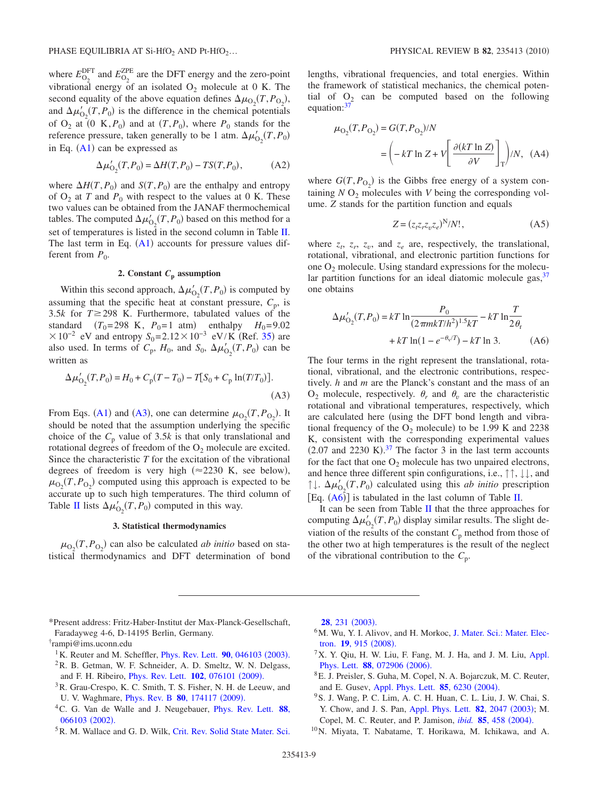where  $E_{\text{O}_2}^{\text{DFT}}$  and  $E_{\text{O}_2}^{\text{ZPE}}$  are the DFT energy and the zero-point vibrational energy of an isolated  $O_2$  molecule at 0 K. The second equality of the above equation defines  $\Delta \mu_{\text{O}_2}(T, P_{\text{O}_2})$ , and  $\Delta \mu'_{O_2}(T, P_0)$  is the difference in the chemical potentials of  $O_2$  at  $(0, K, P_0)$  and at  $(T, P_0)$ , where  $P_0$  stands for the reference pressure, taken generally to be 1 atm.  $\Delta \mu'_{O_2}(T, P_0)$ in Eq.  $(A1)$  $(A1)$  $(A1)$  can be expressed as

$$
\Delta \mu'_{O_2}(T, P_0) = \Delta H(T, P_0) - TS(T, P_0), \tag{A2}
$$

where  $\Delta H(T, P_0)$  and  $S(T, P_0)$  are the enthalpy and entropy of  $O_2$  at *T* and  $P_0$  with respect to the values at 0 K. These two values can be obtained from the JANAF thermochemical tables. The computed  $\Delta \mu'_{O_2}(T, P_0)$  based on this method for a set of temperatures is listed in the second column in Table [II.](#page-7-3) The last term in Eq.  $(A1)$  $(A1)$  $(A1)$  accounts for pressure values different from  $P_0$ .

## 2. Constant  $C_p$  assumption

Within this second approach,  $\Delta \mu'_{O_2}(T, P_0)$  is computed by assuming that the specific heat at constant pressure,  $C_p$ , is 3.5 $k$  for  $T \ge 298$  K. Furthermore, tabulated values of the standard  $(T_0=298 \text{ K}, P_0=1 \text{ atm})$  enthalpy  $H_0=9.02$  $\times 10^{-2}$  eV and entropy *S*<sub>0</sub>=2.12 × 10<sup>-3</sup> eV/K (Ref. [35](#page-9-19)) are also used. In terms of  $C_p$ ,  $H_0$ , and  $S_0$ ,  $\Delta \mu'_{O_2}(T, P_0)$  can be written as

<span id="page-8-11"></span>
$$
\Delta \mu'_{O_2}(T, P_0) = H_0 + C_p(T - T_0) - T[S_0 + C_p \ln(T/T_0)].
$$
\n(A3)

From Eqs. ([A1](#page-7-2)) and ([A3](#page-8-11)), one can determine  $\mu_{O_2}(T, P_{O_2})$ . It should be noted that the assumption underlying the specific choice of the  $C_p$  value of 3.5*k* is that only translational and rotational degrees of freedom of the  $O_2$  molecule are excited. Since the characteristic *T* for the excitation of the vibrational degrees of freedom is very high  $(\approx 2230 \text{ K}, \text{ see below}),$  $\mu_{\text{O}_2}(T, P_{\text{O}_2})$  computed using this approach is expected to be accurate up to such high temperatures. The third column of Table [II](#page-7-3) lists  $\Delta \mu'_{O_2}(T, P_0)$  computed in this way.

#### **3. Statistical thermodynamics**

 $\mu_{\text{O}_2}(T, P_{\text{O}_2})$  can also be calculated *ab initio* based on statistical thermodynamics and DFT determination of bond lengths, vibrational frequencies, and total energies. Within the framework of statistical mechanics, the chemical potential of  $O_2$  can be computed based on the following equation:<sup>37</sup>

$$
\mu_{\text{O}_2}(T, P_{\text{O}_2}) = G(T, P_{\text{O}_2})/N
$$

$$
= \left(-kT \ln Z + V \left[\frac{\partial (kT \ln Z)}{\partial V}\right]_T\right)/N, \quad \text{(A4)}
$$

where  $G(T, P_{O_2})$  is the Gibbs free energy of a system containing  $N O_2$  molecules with  $V$  being the corresponding volume. *Z* stands for the partition function and equals

$$
Z = (z_t z_r z_v z_e)^N / N!, \qquad (A5)
$$

where  $z_t$ ,  $z_t$ ,  $z_v$ , and  $z_e$  are, respectively, the translational, rotational, vibrational, and electronic partition functions for one  $O_2$  molecule. Using standard expressions for the molecular partition functions for an ideal diatomic molecule gas,  $37$ one obtains

<span id="page-8-12"></span>
$$
\Delta \mu'_{O_2}(T, P_0) = kT \ln \frac{P_0}{(2\pi mkT/h^2)^{1.5}kT} - kT \ln \frac{T}{2\theta_r} + kT \ln(1 - e^{-\theta\sqrt{T}}) - kT \ln 3.
$$
 (A6)

The four terms in the right represent the translational, rotational, vibrational, and the electronic contributions, respectively. *h* and *m* are the Planck's constant and the mass of an  $O_2$  molecule, respectively.  $\theta_r$  and  $\theta_v$  are the characteristic rotational and vibrational temperatures, respectively, which are calculated here (using the DFT bond length and vibrational frequency of the  $O_2$  molecule) to be 1.99 K and 2238 K, consistent with the corresponding experimental values  $(2.07 \text{ and } 2230 \text{ K})$ .<sup>[37](#page-9-21)</sup> The factor 3 in the last term accounts for the fact that one  $O_2$  molecule has two unpaired electrons, and hence three different spin configurations, i.e., ↑↑, ↓↓, and  $\uparrow \downarrow$ .  $\Delta \mu'_{O_2}(T, P_0)$  calculated using this *ab initio* prescription [Eq.  $(A6)$  $(A6)$  $(A6)$ ] is tabulated in the last column of Table [II.](#page-7-3)

It can be seen from Table [II](#page-7-3) that the three approaches for computing  $\Delta \mu'_{O_2}(T, P_0)$  display similar results. The slight deviation of the results of the constant  $C_p$  method from those of the other two at high temperatures is the result of the neglect of the vibrational contribution to the *C*p.

<span id="page-8-4"></span><span id="page-8-2"></span><sup>1</sup>K. Reuter and M. Scheffler, *[Phys. Rev. Lett.](http://dx.doi.org/10.1103/PhysRevLett.90.046103)* **90**, 046103 (2003). 2R. B. Getman, W. F. Schneider, A. D. Smeltz, W. N. Delgass,

and F. H. Ribeiro, *[Phys. Rev. Lett.](http://dx.doi.org/10.1103/PhysRevLett.102.076101)* **102**, 076101 (2009). <sup>3</sup>R. Grau-Crespo, K. C. Smith, T. S. Fisher, N. H. de Leeuw, and

- U. V. Waghmare, *[Phys. Rev. B](http://dx.doi.org/10.1103/PhysRevB.80.174117)* 80, 174117 (2009).
- <span id="page-8-3"></span>4C. G. Van de Walle and J. Neugebauer, [Phys. Rev. Lett.](http://dx.doi.org/10.1103/PhysRevLett.88.066103) **88**, [066103](http://dx.doi.org/10.1103/PhysRevLett.88.066103) (2002).
- <span id="page-8-5"></span><sup>5</sup>R. M. Wallace and G. D. Wilk, [Crit. Rev. Solid State Mater. Sci.](http://dx.doi.org/10.1080/714037708)

**28**[, 231](http://dx.doi.org/10.1080/714037708) (2003).

- <span id="page-8-6"></span><sup>6</sup>M. Wu, Y. I. Alivov, and H. Morkoc, [J. Mater. Sci.: Mater. Elec](http://dx.doi.org/10.1007/s10854-008-9713-2)tron. **19**[, 915](http://dx.doi.org/10.1007/s10854-008-9713-2) (2008).
- <span id="page-8-7"></span><sup>7</sup>X. Y. Qiu, H. W. Liu, F. Fang, M. J. Ha, and J. M. Liu, [Appl.](http://dx.doi.org/10.1063/1.2168505) [Phys. Lett.](http://dx.doi.org/10.1063/1.2168505) 88, 072906 (2006).
- <span id="page-8-8"></span>8E. J. Preisler, S. Guha, M. Copel, N. A. Bojarczuk, M. C. Reuter, and E. Gusev, [Appl. Phys. Lett.](http://dx.doi.org/10.1063/1.1834995) **85**, 6230 (2004).
- <span id="page-8-9"></span>9S. J. Wang, P. C. Lim, A. C. H. Huan, C. L. Liu, J. W. Chai, S. Y. Chow, and J. S. Pan, [Appl. Phys. Lett.](http://dx.doi.org/10.1063/1.1565182) **82**, 2047 (2003); M. Copel, M. C. Reuter, and P. Jamison, *ibid.* **85**[, 458](http://dx.doi.org/10.1063/1.1773365) (2004).
- <span id="page-8-10"></span>10N. Miyata, T. Nabatame, T. Horikawa, M. Ichikawa, and A.

<span id="page-8-0"></span><sup>\*</sup>Present address: Fritz-Haber-Institut der Max-Planck-Gesellschaft, Faradayweg 4-6, D-14195 Berlin, Germany.

<span id="page-8-1"></span><sup>†</sup> rampi@ims.uconn.edu